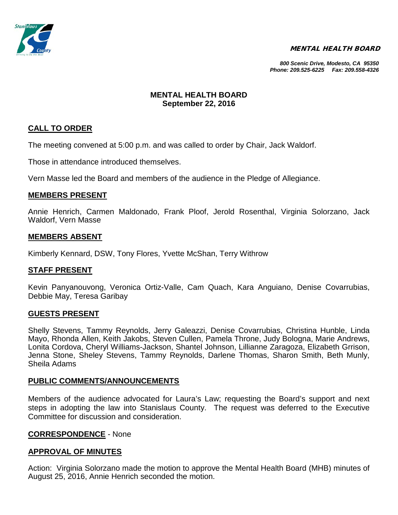

### MENTAL HEALTH BOARD

*800 Scenic Drive, Modesto, CA 95350 Phone: 209.525-6225 Fax: 209.558-4326*

### **MENTAL HEALTH BOARD September 22, 2016**

# **CALL TO ORDER**

The meeting convened at 5:00 p.m. and was called to order by Chair, Jack Waldorf.

Those in attendance introduced themselves.

Vern Masse led the Board and members of the audience in the Pledge of Allegiance.

### **MEMBERS PRESENT**

Annie Henrich, Carmen Maldonado, Frank Ploof, Jerold Rosenthal, Virginia Solorzano, Jack Waldorf, Vern Masse

### **MEMBERS ABSENT**

Kimberly Kennard, DSW, Tony Flores, Yvette McShan, Terry Withrow

### **STAFF PRESENT**

Kevin Panyanouvong, Veronica Ortiz-Valle, Cam Quach, Kara Anguiano, Denise Covarrubias, Debbie May, Teresa Garibay

### **GUESTS PRESENT**

Shelly Stevens, Tammy Reynolds, Jerry Galeazzi, Denise Covarrubias, Christina Hunble, Linda Mayo, Rhonda Allen, Keith Jakobs, Steven Cullen, Pamela Throne, Judy Bologna, Marie Andrews, Lonita Cordova, Cheryl Williams-Jackson, Shantel Johnson, Lillianne Zaragoza, Elizabeth Grrison, Jenna Stone, Sheley Stevens, Tammy Reynolds, Darlene Thomas, Sharon Smith, Beth Munly, Sheila Adams

### **PUBLIC COMMENTS/ANNOUNCEMENTS**

Members of the audience advocated for Laura's Law; requesting the Board's support and next steps in adopting the law into Stanislaus County. The request was deferred to the Executive Committee for discussion and consideration.

### **CORRESPONDENCE** - None

### **APPROVAL OF MINUTES**

Action: Virginia Solorzano made the motion to approve the Mental Health Board (MHB) minutes of August 25, 2016, Annie Henrich seconded the motion.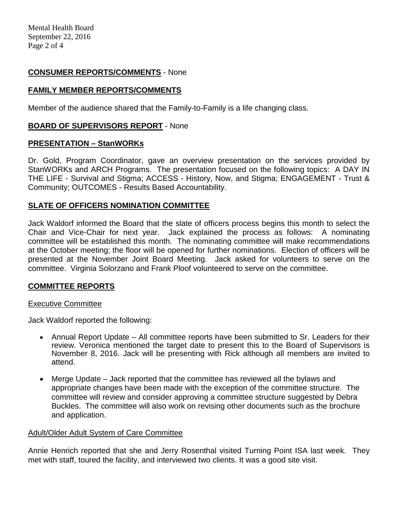## **CONSUMER REPORTS/COMMENTS** - None

## **FAMILY MEMBER REPORTS/COMMENTS**

Member of the audience shared that the Family-to-Family is a life changing class.

## **BOARD OF SUPERVISORS REPORT** - None

### **PRESENTATION – StanWORKs**

Dr. Gold, Program Coordinator, gave an overview presentation on the services provided by StanWORKs and ARCH Programs. The presentation focused on the following topics: A DAY IN THE LIFE - Survival and Stigma; ACCESS - History, Now, and Stigma; ENGAGEMENT - Trust & Community; OUTCOMES - Results Based Accountability.

## **SLATE OF OFFICERS NOMINATION COMMITTEE**

Jack Waldorf informed the Board that the slate of officers process begins this month to select the Chair and Vice-Chair for next year. Jack explained the process as follows: A nominating committee will be established this month. The nominating committee will make recommendations at the October meeting; the floor will be opened for further nominations. Election of officers will be presented at the November Joint Board Meeting. Jack asked for volunteers to serve on the committee. Virginia Solorzano and Frank Ploof volunteered to serve on the committee.

## **COMMITTEE REPORTS**

### Executive Committee

Jack Waldorf reported the following:

- Annual Report Update All committee reports have been submitted to Sr. Leaders for their review. Veronica mentioned the target date to present this to the Board of Supervisors is November 8, 2016. Jack will be presenting with Rick although all members are invited to attend.
- Merge Update Jack reported that the committee has reviewed all the bylaws and appropriate changes have been made with the exception of the committee structure. The committee will review and consider approving a committee structure suggested by Debra Buckles. The committee will also work on revising other documents such as the brochure and application.

### Adult/Older Adult System of Care Committee

Annie Henrich reported that she and Jerry Rosenthal visited Turning Point ISA last week. They met with staff, toured the facility, and interviewed two clients. It was a good site visit.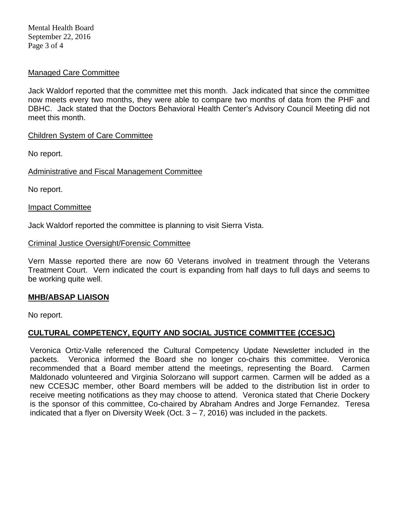Mental Health Board September 22, 2016 Page 3 of 4

### Managed Care Committee

Jack Waldorf reported that the committee met this month. Jack indicated that since the committee now meets every two months, they were able to compare two months of data from the PHF and DBHC. Jack stated that the Doctors Behavioral Health Center's Advisory Council Meeting did not meet this month.

### Children System of Care Committee

No report.

Administrative and Fiscal Management Committee

No report.

Impact Committee

Jack Waldorf reported the committee is planning to visit Sierra Vista.

### Criminal Justice Oversight/Forensic Committee

Vern Masse reported there are now 60 Veterans involved in treatment through the Veterans Treatment Court. Vern indicated the court is expanding from half days to full days and seems to be working quite well.

## **MHB/ABSAP LIAISON**

No report.

## **CULTURAL COMPETENCY, EQUITY AND SOCIAL JUSTICE COMMITTEE (CCESJC)**

Veronica Ortiz-Valle referenced the Cultural Competency Update Newsletter included in the packets. Veronica informed the Board she no longer co-chairs this committee. Veronica recommended that a Board member attend the meetings, representing the Board. Carmen Maldonado volunteered and Virginia Solorzano will support carmen. Carmen will be added as a new CCESJC member, other Board members will be added to the distribution list in order to receive meeting notifications as they may choose to attend. Veronica stated that Cherie Dockery is the sponsor of this committee, Co-chaired by Abraham Andres and Jorge Fernandez. Teresa indicated that a flyer on Diversity Week (Oct.  $3 - 7$ , 2016) was included in the packets.